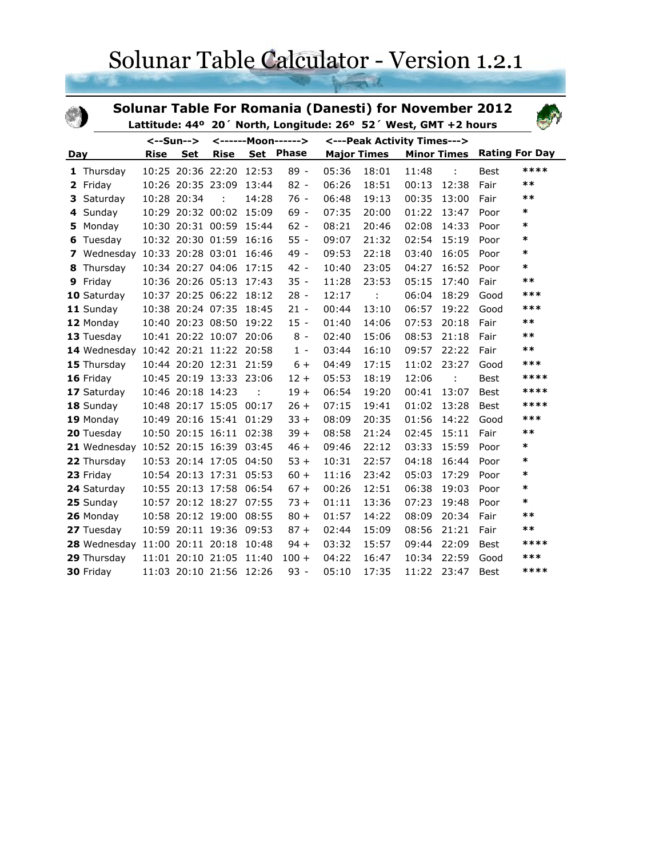## Solunar Table Calculator - Version 1.2.1

|                      |              |             |                    | <b>Solunar Table For Romania (Danesti) for November 2012</b>    |       |                             |       |                    |       |                    |             |                       |
|----------------------|--------------|-------------|--------------------|-----------------------------------------------------------------|-------|-----------------------------|-------|--------------------|-------|--------------------|-------------|-----------------------|
|                      |              |             |                    | Lattitude: 44° 20' North, Longitude: 26° 52' West, GMT +2 hours |       |                             |       |                    |       |                    |             |                       |
| $\leftarrow$ -Sun--> |              |             | <------Moon------> |                                                                 |       | <---Peak Activity Times---> |       |                    |       |                    |             |                       |
| Day                  |              | <b>Rise</b> | <b>Set</b>         | <b>Rise</b>                                                     |       | Set Phase                   |       | <b>Major Times</b> |       | <b>Minor Times</b> |             | <b>Rating For Day</b> |
|                      | 1 Thursday   |             | 10:25 20:36 22:20  |                                                                 | 12:53 | $89 -$                      | 05:36 | 18:01              | 11:48 | ÷                  | <b>Best</b> | ****                  |
| $\mathbf{2}$         | Friday       |             |                    | 10:26 20:35 23:09                                               | 13:44 | $82 -$                      | 06:26 | 18:51              | 00:13 | 12:38              | Fair        | $***$                 |
| 3                    | Saturday     |             | 10:28 20:34        | $\mathbf{r}$                                                    | 14:28 | $76 -$                      | 06:48 | 19:13              | 00:35 | 13:00              | Fair        | $***$                 |
|                      | 4 Sunday     |             |                    | 10:29 20:32 00:02 15:09                                         |       | $69 -$                      | 07:35 | 20:00              | 01:22 | 13:47              | Poor        | *                     |
| 5                    | Monday       |             |                    | 10:30 20:31 00:59 15:44                                         |       | $62 -$                      | 08:21 | 20:46              | 02:08 | 14:33              | Poor        | $\ast$                |
| 6                    | Tuesday      |             |                    | 10:32 20:30 01:59                                               | 16:16 | $55 -$                      | 09:07 | 21:32              | 02:54 | 15:19              | Poor        | $\ast$                |
| 7                    | Wednesday    |             |                    | 10:33 20:28 03:01 16:46                                         |       | 49 -                        | 09:53 | 22:18              | 03:40 | 16:05              | Poor        | *                     |
| 8                    | Thursday     |             |                    | 10:34 20:27 04:06                                               | 17:15 | $42 -$                      | 10:40 | 23:05              | 04:27 | 16:52              | Poor        | *                     |
| 9                    | Friday       |             |                    | 10:36 20:26 05:13                                               | 17:43 | $35 -$                      | 11:28 | 23:53              | 05:15 | 17:40              | Fair        | $***$                 |
|                      | 10 Saturday  |             |                    | 10:37 20:25 06:22 18:12                                         |       | $28 -$                      | 12:17 | ÷                  | 06:04 | 18:29              | Good        | ***                   |
|                      | 11 Sunday    |             |                    | 10:38 20:24 07:35                                               | 18:45 | $21 -$                      | 00:44 | 13:10              | 06:57 | 19:22              | Good        | ***                   |
|                      | 12 Monday    |             |                    | 10:40 20:23 08:50                                               | 19:22 | $15 -$                      | 01:40 | 14:06              | 07:53 | 20:18              | Fair        | $***$                 |
|                      | 13 Tuesday   |             |                    | 10:41 20:22 10:07 20:06                                         |       | $8 -$                       | 02:40 | 15:06              | 08:53 | 21:18              | Fair        | $***$                 |
|                      | 14 Wednesday |             |                    | 10:42 20:21 11:22 20:58                                         |       | $1 -$                       | 03:44 | 16:10              | 09:57 | 22:22              | Fair        | $***$                 |
|                      | 15 Thursday  |             |                    | 10:44 20:20 12:31 21:59                                         |       | $6+$                        | 04:49 | 17:15              | 11:02 | 23:27              | Good        | ***                   |
|                      | 16 Friday    |             |                    | 10:45 20:19 13:33 23:06                                         |       | $12 +$                      | 05:53 | 18:19              | 12:06 | ÷.                 | Best        | ****                  |
|                      | 17 Saturday  |             | 10:46 20:18 14:23  |                                                                 |       | $19 +$                      | 06:54 | 19:20              | 00:41 | 13:07              | <b>Best</b> | ****                  |
|                      | 18 Sunday    |             |                    | 10:48 20:17 15:05 00:17                                         |       | $26 +$                      | 07:15 | 19:41              | 01:02 | 13:28              | Best        | ****                  |
|                      | 19 Monday    |             |                    | 10:49 20:16 15:41 01:29                                         |       | $33 +$                      | 08:09 | 20:35              | 01:56 | 14:22              | Good        | ***                   |
|                      | 20 Tuesday   |             |                    | 10:50 20:15 16:11 02:38                                         |       | $39 +$                      | 08:58 | 21:24              | 02:45 | 15:11              | Fair        | $***$                 |
|                      | 21 Wednesday |             |                    | 10:52 20:15 16:39                                               | 03:45 | $46 +$                      | 09:46 | 22:12              | 03:33 | 15:59              | Poor        | *                     |
|                      | 22 Thursday  |             |                    | 10:53 20:14 17:05                                               | 04:50 | $53 +$                      | 10:31 | 22:57              | 04:18 | 16:44              | Poor        | *                     |
|                      | 23 Friday    |             |                    | 10:54 20:13 17:31 05:53                                         |       | $60 +$                      | 11:16 | 23:42              | 05:03 | 17:29              | Poor        | *                     |
|                      | 24 Saturday  |             |                    | 10:55 20:13 17:58 06:54                                         |       | $67 +$                      | 00:26 | 12:51              | 06:38 | 19:03              | Poor        | *                     |
|                      | 25 Sunday    |             |                    | 10:57 20:12 18:27                                               | 07:55 | $73 +$                      | 01:11 | 13:36              | 07:23 | 19:48              | Poor        | *                     |
|                      | 26 Monday    |             |                    | 10:58 20:12 19:00                                               | 08:55 | $80 +$                      | 01:57 | 14:22              | 08:09 | 20:34              | Fair        | $**$                  |
|                      | 27 Tuesday   |             |                    | 10:59 20:11 19:36 09:53                                         |       | $87 +$                      | 02:44 | 15:09              | 08:56 | 21:21              | Fair        | $***$                 |
|                      | 28 Wednesday |             |                    | 11:00 20:11 20:18                                               | 10:48 | $94 +$                      | 03:32 | 15:57              | 09:44 | 22:09              | Best        | ****                  |
|                      | 29 Thursday  |             |                    | 11:01 20:10 21:05                                               | 11:40 | $100 +$                     | 04:22 | 16:47              | 10:34 | 22:59              | Good        | ***                   |
|                      | 30 Friday    |             | 11:03 20:10 21:56  |                                                                 | 12:26 | $93 -$                      | 05:10 | 17:35              | 11:22 | 23:47              | <b>Best</b> | ****                  |